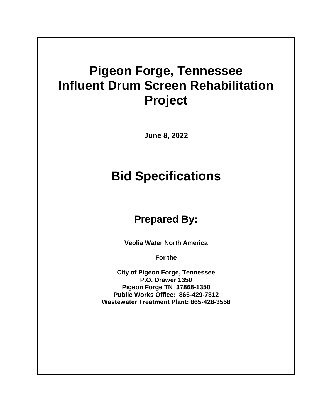## **Pigeon Forge, Tennessee Influent Drum Screen Rehabilitation Project**

**June 8, 2022**

# **Bid Specifications**

## **Prepared By:**

**Veolia Water North America** 

**For the**

**City of Pigeon Forge, Tennessee P.O. Drawer 1350 Pigeon Forge TN 37868-1350 Public Works Office: 865-429-7312 Wastewater Treatment Plant: 865-428-3558**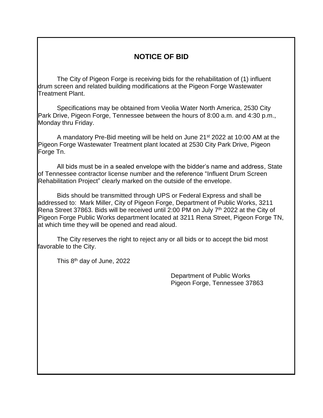### **NOTICE OF BID**

The City of Pigeon Forge is receiving bids for the rehabilitation of (1) influent drum screen and related building modifications at the Pigeon Forge Wastewater Treatment Plant.

Specifications may be obtained from Veolia Water North America, 2530 City Park Drive, Pigeon Forge, Tennessee between the hours of 8:00 a.m. and 4:30 p.m., Monday thru Friday.

A mandatory Pre-Bid meeting will be held on June 21st 2022 at 10:00 AM at the Pigeon Forge Wastewater Treatment plant located at 2530 City Park Drive, Pigeon Forge Tn.

All bids must be in a sealed envelope with the bidder's name and address, State of Tennessee contractor license number and the reference "Influent Drum Screen Rehabilitation Project" clearly marked on the outside of the envelope.

Bids should be transmitted through UPS or Federal Express and shall be addressed to: Mark Miller, City of Pigeon Forge, Department of Public Works, 3211 Rena Street 37863. Bids will be received until 2:00 PM on July 7<sup>th</sup> 2022 at the City of Pigeon Forge Public Works department located at 3211 Rena Street, Pigeon Forge TN, at which time they will be opened and read aloud.

The City reserves the right to reject any or all bids or to accept the bid most favorable to the City.

This 8<sup>th</sup> day of June, 2022

Department of Public Works Pigeon Forge, Tennessee 37863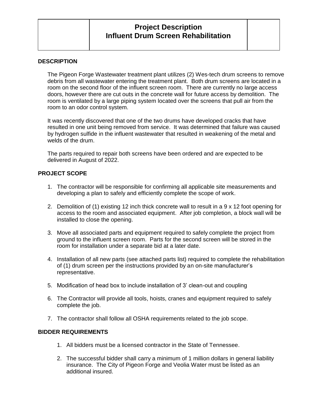## **Project Description Influent Drum Screen Rehabilitation**

#### **DESCRIPTION**

The Pigeon Forge Wastewater treatment plant utilizes (2) Wes-tech drum screens to remove debris from all wastewater entering the treatment plant. Both drum screens are located in a room on the second floor of the influent screen room. There are currently no large access doors, however there are cut outs in the concrete wall for future access by demolition. The room is ventilated by a large piping system located over the screens that pull air from the room to an odor control system.

It was recently discovered that one of the two drums have developed cracks that have resulted in one unit being removed from service. It was determined that failure was caused by hydrogen sulfide in the influent wastewater that resulted in weakening of the metal and welds of the drum.

The parts required to repair both screens have been ordered and are expected to be delivered in August of 2022.

#### **PROJECT SCOPE**

- 1. The contractor will be responsible for confirming all applicable site measurements and developing a plan to safely and efficiently complete the scope of work.
- 2. Demolition of (1) existing 12 inch thick concrete wall to result in a 9 x 12 foot opening for access to the room and associated equipment. After job completion, a block wall will be installed to close the opening.
- 3. Move all associated parts and equipment required to safely complete the project from ground to the influent screen room. Parts for the second screen will be stored in the room for installation under a separate bid at a later date.
- 4. Installation of all new parts (see attached parts list) required to complete the rehabilitation of (1) drum screen per the instructions provided by an on-site manufacturer's representative.
- 5. Modification of head box to include installation of 3' clean-out and coupling
- 6. The Contractor will provide all tools, hoists, cranes and equipment required to safely complete the job.
- 7. The contractor shall follow all OSHA requirements related to the job scope.

#### **BIDDER REQUIREMENTS**

- 1. All bidders must be a licensed contractor in the State of Tennessee.
- 2. The successful bidder shall carry a minimum of 1 million dollars in general liability insurance. The City of Pigeon Forge and Veolia Water must be listed as an additional insured.